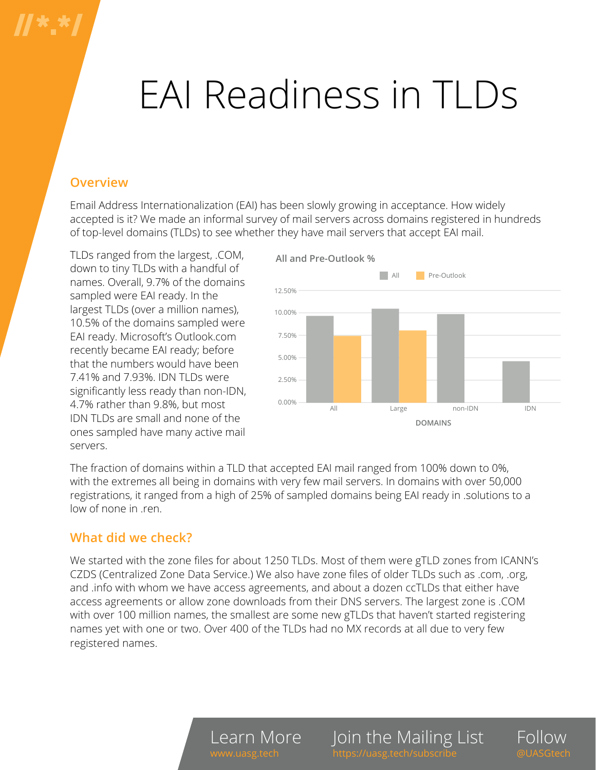# EAI Readiness in TLDs

## **Overview**

Email Address Internationalization (EAI) has been slowly growing in acceptance. How widely accepted is it? We made an informal survey of mail servers across domains registered in hundreds of top-level domains (TLDs) to see whether they have mail servers that accept EAI mail.

TLDs ranged from the largest, .COM, down to tiny TLDs with a handful of names. Overall, 9.7% of the domains sampled were EAI ready. In the largest TLDs (over a million names), 10.5% of the domains sampled were EAI ready. Microsoft's Outlook.com recently became EAI ready; before that the numbers would have been 7.41% and 7.93%. IDN TLDs were significantly less ready than non-IDN, 4.7% rather than 9.8%, but most IDN TLDs are small and none of the ones sampled have many active mail servers.



The fraction of domains within a TLD that accepted EAI mail ranged from 100% down to 0%, with the extremes all being in domains with very few mail servers. In domains with over 50,000 registrations, it ranged from a high of 25% of sampled domains being EAI ready in .solutions to a low of none in .ren.

## **What did we check?**

We started with the zone files for about 1250 TLDs. Most of them were gTLD zones from ICANN's CZDS (Centralized Zone Data Service.) We also have zone files of older TLDs such as .com, .org, and .info with whom we have access agreements, and about a dozen ccTLDs that either have access agreements or allow zone downloads from their DNS servers. The largest zone is .COM with over 100 million names, the smallest are some new gTLDs that haven't started registering names yet with one or two. Over 400 of the TLDs had no MX records at all due to very few registered names.

> Learn More w.uasg.tech

Join the Mailing List

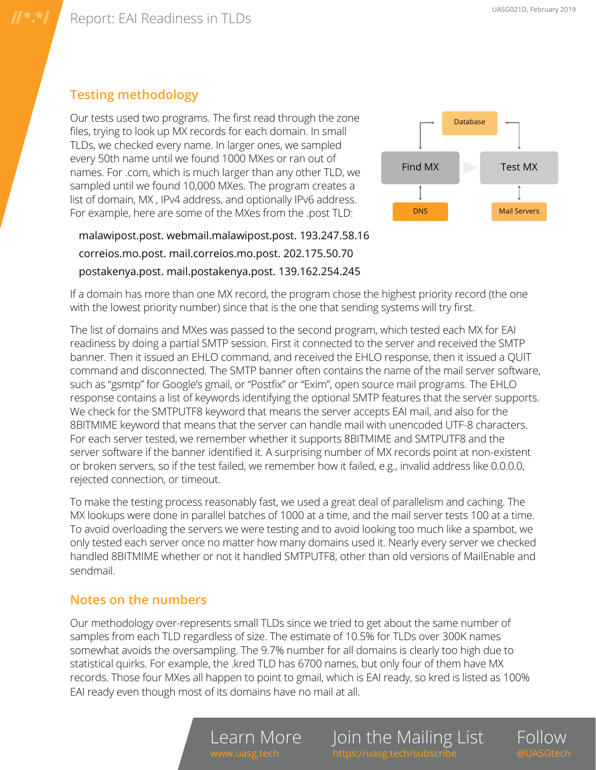# **Testing methodology**

Our tests used two programs. The first read through the zone files, trying to look up MX records for each domain. In small TLDs, we checked every name. In larger ones, we sampled every 50th name until we found 1000 MXes or ran out of names. For .com, which is much larger than any other TLD, we sampled until we found 10,000 MXes. The program creates a list of domain, MX , IPv4 address, and optionally IPv6 address. For example, here are some of the MXes from the .post TLD:



malawipost.post. webmail.malawipost.post. 193.247.58.16 correios.mo.post. mail.correios.mo.post. 202.175.50.70 postakenya.post. mail.postakenya.post. 139.162.254.245

If a domain has more than one MX record, the program chose the highest priority record (the one with the lowest priority number) since that is the one that sending systems will try first.

The list of domains and MXes was passed to the second program, which tested each MX for EAI readiness by doing a partial SMTP session. First it connected to the server and received the SMTP banner. Then it issued an EHLO command, and received the EHLO response, then it issued a QUIT command and disconnected. The SMTP banner often contains the name of the mail server software, such as "gsmtp" for Google's gmail, or "Postfix" or "Exim", open source mail programs. The EHLO response contains a list of keywords identifying the optional SMTP features that the server supports. We check for the SMTPUTF8 keyword that means the server accepts EAI mail, and also for the 8BITMIME keyword that means that the server can handle mail with unencoded UTF-8 characters. For each server tested, we remember whether it supports 8BITMIME and SMTPUTF8 and the server software if the banner identified it. A surprising number of MX records point at non-existent or broken servers, so if the test failed, we remember how it failed, e.g., invalid address like 0.0.0.0, rejected connection, or timeout.

To make the testing process reasonably fast, we used a great deal of parallelism and caching. The MX lookups were done in parallel batches of 1000 at a time, and the mail server tests 100 at a time. To avoid overloading the servers we were testing and to avoid looking too much like a spambot, we only tested each server once no matter how many domains used it. Nearly every server we checked handled 8BITMIME whether or not it handled SMTPUTF8, other than old versions of MailEnable and sendmail.

#### **Notes on the numbers**

Our methodology over-represents small TLDs since we tried to get about the same number of samples from each TLD regardless of size. The estimate of 10.5% for TLDs over 300K names somewhat avoids the oversampling. The 9.7% number for all domains is clearly too high due to statistical quirks. For example, the .kred TLD has 6700 names, but only four of them have MX records. Those four MXes all happen to point to gmail, which is EAI ready, so kred is listed as 100% EAI ready even though most of its domains have no mail at all.

Learn More

Join the Mailing List s://uasg.tech/subs

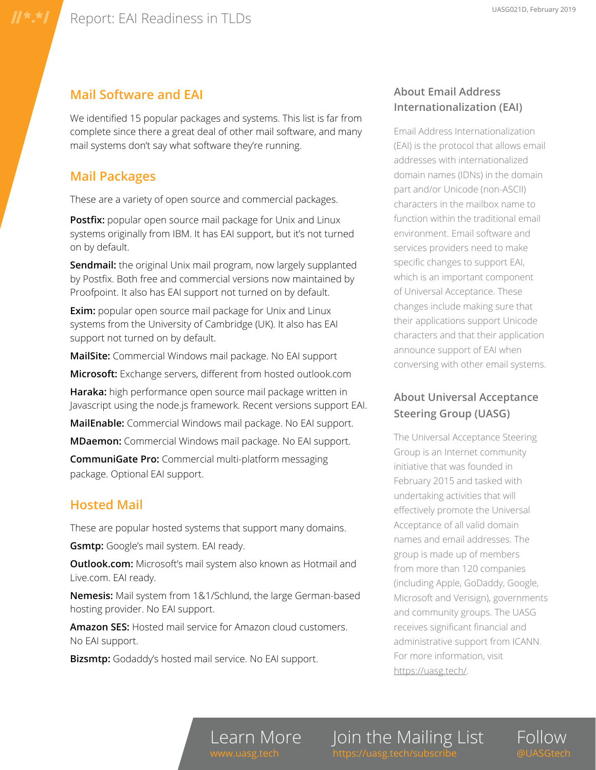#### **Mail Software and EAI**

We identified 15 popular packages and systems. This list is far from complete since there a great deal of other mail software, and many mail systems don't say what software they're running.

#### **Mail Packages**

These are a variety of open source and commercial packages.

**Postfix:** popular open source mail package for Unix and Linux systems originally from IBM. It has EAI support, but it's not turned on by default.

**Sendmail:** the original Unix mail program, now largely supplanted by Postfix. Both free and commercial versions now maintained by Proofpoint. It also has EAI support not turned on by default.

**Exim:** popular open source mail package for Unix and Linux systems from the University of Cambridge (UK). It also has EAI support not turned on by default.

**MailSite:** Commercial Windows mail package. No EAI support

**Microsoft:** Exchange servers, different from hosted outlook.com

**Haraka:** high performance open source mail package written in Javascript using the node.js framework. Recent versions support EAI.

**MailEnable:** Commercial Windows mail package. No EAI support.

**MDaemon:** Commercial Windows mail package. No EAI support.

**CommuniGate Pro:** Commercial multi-platform messaging package. Optional EAI support.

#### **Hosted Mail**

These are popular hosted systems that support many domains.

**Gsmtp:** Google's mail system. EAI ready.

**Outlook.com:** Microsoft's mail system also known as Hotmail and Live.com. EAI ready.

**Nemesis:** Mail system from 1&1/Schlund, the large German-based hosting provider. No EAI support.

**Amazon SES:** Hosted mail service for Amazon cloud customers. No EAI support.

**Bizsmtp:** Godaddy's hosted mail service. No EAI support.

#### **About Email Address Internationalization (EAI)**

Email Address Internationalization (EAI) is the protocol that allows email addresses with internationalized domain names (IDNs) in the domain part and/or Unicode (non-ASCII) characters in the mailbox name to function within the traditional email environment. Email software and services providers need to make specific changes to support EAI, which is an important component of Universal Acceptance. These changes include making sure that their applications support Unicode characters and that their application announce support of EAI when conversing with other email systems.

### **About Universal Acceptance Steering Group (UASG)**

The Universal Acceptance Steering Group is an Internet community initiative that was founded in February 2015 and tasked with undertaking activities that will effectively promote the Universal Acceptance of all valid domain names and email addresses. The group is made up of members from more than 120 companies (including Apple, GoDaddy, Google, Microsoft and Verisign), governments and community groups. The UASG receives significant financial and administrative support from ICANN. For more information, visit [https://uasg.tech/.](https://uasg.tech/)

Join the Mailing List

Follow @UASGtech